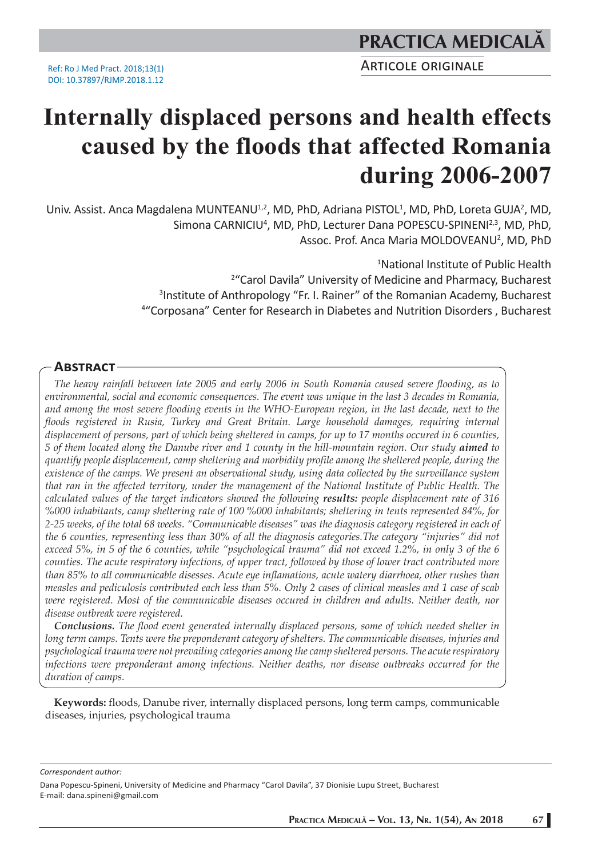Ref: Ro J Med Pract. 2018;13(1) DOI: 10.37897/RJMP.2018.1.12

# **PRACTICA MEDICALÅ**

ARTICOLE ORIGINALE

# **Internally displaced persons and health effects caused by the floods that affected Romania during 2006-2007**

Univ. Assist. Anca Magdalena MUNTEANU<sup>1,2</sup>, MD, PhD, Adriana PISTOL<sup>1</sup>, MD, PhD, Loreta GUJA<sup>2</sup>, MD, Simona CARNICIU<sup>4</sup>, MD, PhD, Lecturer Dana POPESCU-SPINENI<sup>2,3</sup>, MD, PhD, Assoc. Prof. Anca Maria MOLDOVEANU<sup>2</sup>, MD, PhD

> National Institute of Public Health "Carol Davila" University of Medicine and Pharmacy, Bucharest Institute of Anthropology "Fr. I. Rainer" of the Romanian Academy, Bucharest "Corposana" Center for Research in Diabetes and Nutrition Disorders , Bucharest

#### **ABSTRACT**

*The heavy rainfall between late 2005 and early 2006 in South Romania caused severe flooding, as to environmental, social and economic consequences. The event was unique in the last 3 decades in Romania, and among the most severe flooding events in the WHO-European region, in the last decade, next to the floods registered in Rusia, Turkey and Great Britain. Large household damages, requiring internal displacement of persons, part of which being sheltered in camps, for up to 17 months occured in 6 counties, 5 of them located along the Danube river and 1 county in the hill-mountain region. Our study aimed to quantify people displacement, camp sheltering and morbidity profile among the sheltered people, during the existence of the camps. We present an observational study, using data collected by the surveillance system that ran in the affected territory, under the management of the National Institute of Public Health. The calculated values of the target indicators showed the following results: people displacement rate of 316 %000 inhabitants, camp sheltering rate of 100 %000 inhabitants; sheltering in tents represented 84%, for 2-25 weeks, of the total 68 weeks. "Communicable diseases" was the diagnosis category registered in each of the 6 counties, representing less than 30% of all the diagnosis categories.The category "injuries" did not exceed 5%, in 5 of the 6 counties, while "psychological trauma" did not exceed 1.2%, in only 3 of the 6 counties. The acute respiratory infections, of upper tract, followed by those of lower tract contributed more than 85% to all communicable disesses. Acute eye inflamations, acute watery diarrhoea, other rushes than measles and pediculosis contributed each less than 5%. Only 2 cases of clinical measles and 1 case of scab were registered. Most of the communicable diseases occured in children and adults. Neither death, nor disease outbreak were registered.*

*Conclusions. The flood event generated internally displaced persons, some of which needed shelter in long term camps. Tents were the preponderant category of shelters. The communicable diseases, injuries and psychological trauma were not prevailing categories among the camp sheltered persons. The acute respiratory infections were preponderant among infections. Neither deaths, nor disease outbreaks occurred for the duration of camps.*

**Keywords:** floods, Danube river, internally displaced persons, long term camps, communicable diseases, injuries, psychological trauma

*Correspondent author:* 

Dana Popescu-Spineni, University of Medicine and Pharmacy "Carol Davila", 37 Dionisie Lupu Street, Bucharest E-mail: dana.spineni@gmail.com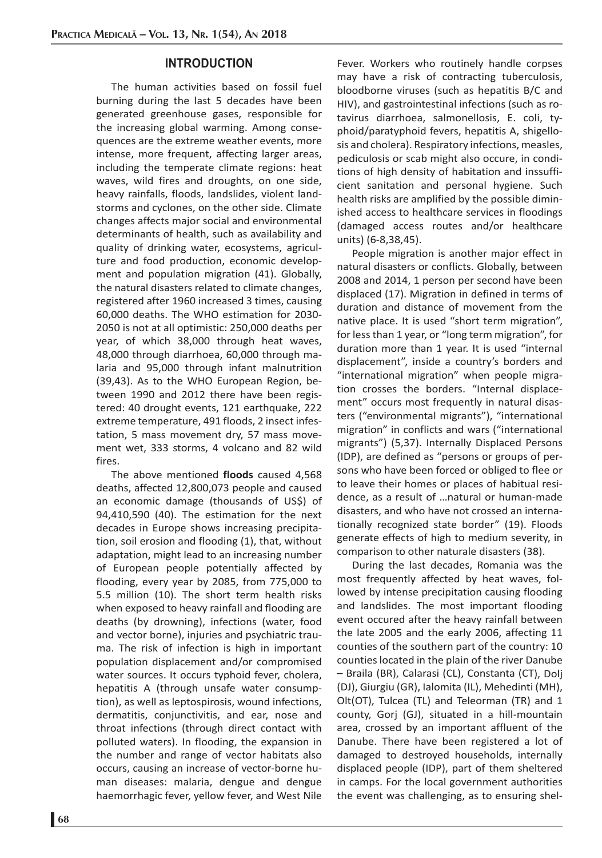#### **INTRODUCTION**

The human activities based on fossil fuel burning during the last 5 decades have been generated greenhouse gases, responsible for the increasing global warming. Among consequences are the extreme weather events, more intense, more frequent, affecting larger areas, including the temperate climate regions: heat waves, wild fires and droughts, on one side, heavy rainfalls, floods, landslides, violent landstorms and cyclones, on the other side. Climate changes affects major social and environmental determinants of health, such as availability and quality of drinking water, ecosystems, agriculture and food production, economic development and population migration (41). Globally, the natural disasters related to climate changes, registered after 1960 increased 3 times, causing 60,000 deaths. The WHO estimation for 2030- 2050 is not at all optimistic: 250,000 deaths per year, of which 38,000 through heat waves, 48,000 through diarrhoea, 60,000 through malaria and 95,000 through infant malnutrition (39,43). As to the WHO European Region, between 1990 and 2012 there have been registered: 40 drought events, 121 earthquake, 222 extreme temperature, 491 floods, 2 insect infestation, 5 mass movement dry, 57 mass movement wet, 333 storms, 4 volcano and 82 wild fires.

The above mentioned **floods** caused 4,568 deaths, affected 12,800,073 people and caused an economic damage (thousands of US\$) of 94,410,590 (40). The estimation for the next decades in Europe shows increasing precipitation, soil erosion and flooding (1), that, without adaptation, might lead to an increasing number of European people potentially affected by flooding, every year by 2085, from 775,000 to 5.5 million (10). The short term health risks when exposed to heavy rainfall and flooding are deaths (by drowning), infections (water, food and vector borne), injuries and psychiatric trauma. The risk of infection is high in important population displacement and/or compromised water sources. It occurs typhoid fever, cholera, hepatitis A (through unsafe water consumption), as well as leptospirosis, wound infections, dermatitis, conjunctivitis, and ear, nose and throat infections (through direct contact with polluted waters). In flooding, the expansion in the number and range of vector habitats also occurs, causing an increase of vector-borne human diseases: malaria, dengue and dengue haemorrhagic fever, yellow fever, and West Nile

Fever. Workers who routinely handle corpses may have a risk of contracting tuberculosis, bloodborne viruses (such as hepatitis B/C and HIV), and gastrointestinal infections (such as rotavirus diarrhoea, salmonellosis, E. coli, typhoid/paratyphoid fevers, hepatitis A, shigellosis and cholera). Respiratory infections, measles, pediculosis or scab might also occure, in conditions of high density of habitation and inssufficient sanitation and personal hygiene. Such health risks are amplified by the possible diminished access to healthcare services in floodings (damaged access routes and/or healthcare units) (6-8,38,45).

People migration is another major effect in natural disasters or conflicts. Globally, between 2008 and 2014, 1 person per second have been displaced (17). Migration in defined in terms of duration and distance of movement from the native place. It is used "short term migration", for less than 1 year, or "long term migration", for duration more than 1 year. It is used "internal displacement", inside a country's borders and "international migration" when people migration crosses the borders. "Internal displacement" occurs most frequently in natural disasters ("environmental migrants"), "international migration" in conflicts and wars ("international migrants") (5,37). Internally Displaced Persons (IDP), are defined as "persons or groups of persons who have been forced or obliged to flee or to leave their homes or places of habitual residence, as a result of …natural or human-made disasters, and who have not crossed an internationally recognized state border" (19). Floods generate effects of high to medium severity, in comparison to other naturale disasters (38).

During the last decades, Romania was the most frequently affected by heat waves, followed by intense precipitation causing flooding and landslides. The most important flooding event occured after the heavy rainfall between the late 2005 and the early 2006, affecting 11 counties of the southern part of the country: 10 counties located in the plain of the river Danube – Braila (BR), Calarasi (CL), Constanta (CT), Dolj (DJ), Giurgiu (GR), Ialomita (IL), Mehedinti (MH), Olt(OT), Tulcea (TL) and Teleorman (TR) and 1 county, Gorj (GJ), situated in a hill-mountain area, crossed by an important affluent of the Danube. There have been registered a lot of damaged to destroyed households, internally displaced people (IDP), part of them sheltered in camps. For the local government authorities the event was challenging, as to ensuring shel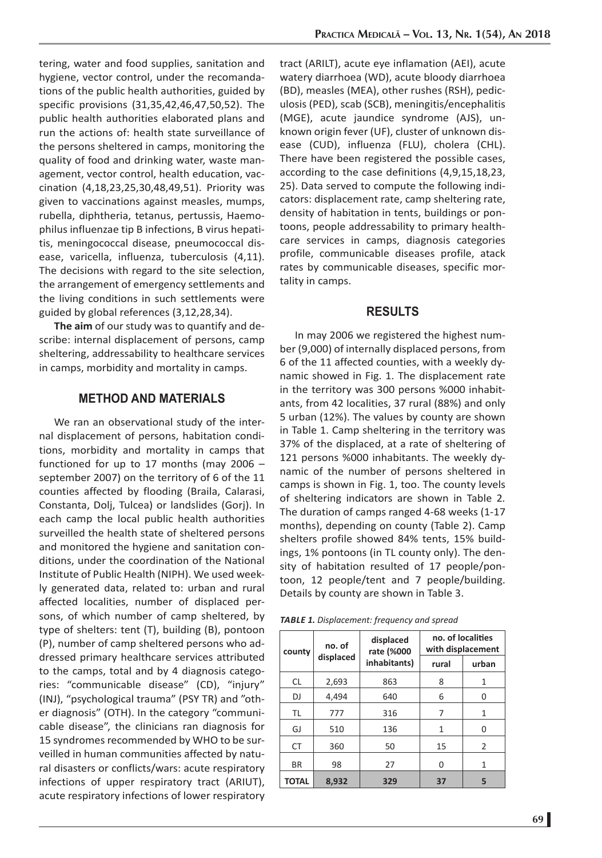tering, water and food supplies, sanitation and hygiene, vector control, under the recomandations of the public health authorities, guided by specific provisions (31,35,42,46,47,50,52). The public health authorities elaborated plans and run the actions of: health state surveillance of the persons sheltered in camps, monitoring the quality of food and drinking water, waste management, vector control, health education, vaccination (4,18,23,25,30,48,49,51). Priority was given to vaccinations against measles, mumps, rubella, diphtheria, tetanus, pertussis, Haemophilus influenzae tip B infections, B virus hepatitis, meningococcal disease, pneumococcal disease, varicella, influenza, tuberculosis (4,11). The decisions with regard to the site selection, the arrangement of emergency settlements and the living conditions in such settlements were guided by global references (3,12,28,34).

**The aim** of our study was to quantify and describe: internal displacement of persons, camp sheltering, addressability to healthcare services in camps, morbidity and mortality in camps.

### **METHOD AND MATERIALS**

We ran an observational study of the internal displacement of persons, habitation conditions, morbidity and mortality in camps that functioned for up to 17 months (may 2006 – september 2007) on the territory of 6 of the 11 counties affected by flooding (Braila, Calarasi, Constanta, Dolj, Tulcea) or landslides (Gorj). In each camp the local public health authorities surveilled the health state of sheltered persons and monitored the hygiene and sanitation conditions, under the coordination of the National Institute of Public Health (NIPH). We used weekly generated data, related to: urban and rural affected localities, number of displaced persons, of which number of camp sheltered, by type of shelters: tent (T), building (B), pontoon (P), number of camp sheltered persons who addressed primary healthcare services attributed to the camps, total and by 4 diagnosis categories: "communicable disease" (CD), "injury" (INJ), "psychological trauma" (PSY TR) and "other diagnosis" (OTH). In the category "communicable disease", the clinicians ran diagnosis for 15 syndromes recommended by WHO to be surveilled in human communities affected by natural disasters or conflicts/wars: acute respiratory infections of upper respiratory tract (ARIUT), acute respiratory infections of lower respiratory

tract (ARILT), acute eye inflamation (AEI), acute watery diarrhoea (WD), acute bloody diarrhoea (BD), measles (MEA), other rushes (RSH), pediculosis (PED), scab (SCB), meningitis/encephalitis (MGE), acute jaundice syndrome (AJS), unknown origin fever (UF), cluster of unknown disease (CUD), influenza (FLU), cholera (CHL). There have been registered the possible cases, according to the case definitions (4,9,15,18,23, 25). Data served to compute the following indicators: displacement rate, camp sheltering rate, density of habitation in tents, buildings or pontoons, people addressability to primary healthcare services in camps, diagnosis categories profile, communicable diseases profile, atack rates by communicable diseases, specific mortality in camps.

#### **RESULTS**

In may 2006 we registered the highest number (9,000) of internally displaced persons, from 6 of the 11 affected counties, with a weekly dynamic showed in Fig. 1. The displacement rate in the territory was 300 persons %000 inhabitants, from 42 localities, 37 rural (88%) and only 5 urban (12%). The values by county are shown in Table 1. Camp sheltering in the territory was 37% of the displaced, at a rate of sheltering of 121 persons %000 inhabitants. The weekly dynamic of the number of persons sheltered in camps is shown in Fig. 1, too. The county levels of sheltering indicators are shown in Table 2*.*  The duration of camps ranged 4-68 weeks (1-17 months), depending on county (Table 2). Camp shelters profile showed 84% tents, 15% buildings, 1% pontoons (in TL county only). The density of habitation resulted of 17 people/pontoon, 12 people/tent and 7 people/building. Details by county are shown in Table 3.

*TABLE 1. Displacement: frequency and spread*

| county    | no. of    | displaced<br>rate (%000 | no. of localities<br>with displacement |       |  |  |
|-----------|-----------|-------------------------|----------------------------------------|-------|--|--|
|           | displaced | inhabitants)            | rural                                  | urban |  |  |
| CL.       | 2,693     | 863                     | 8                                      | 1     |  |  |
| DJ        | 4,494     | 640                     | 6                                      | U     |  |  |
| TL        | 777       | 316                     | 7                                      | 1     |  |  |
| GJ        | 510       | 136                     | 1                                      | U     |  |  |
| <b>CT</b> | 360       | 50                      | 15                                     | 2     |  |  |
| <b>BR</b> | 98        | 27                      | 0                                      | 1     |  |  |
| TOTAL     | 8,932     | 329                     | 37                                     | 5     |  |  |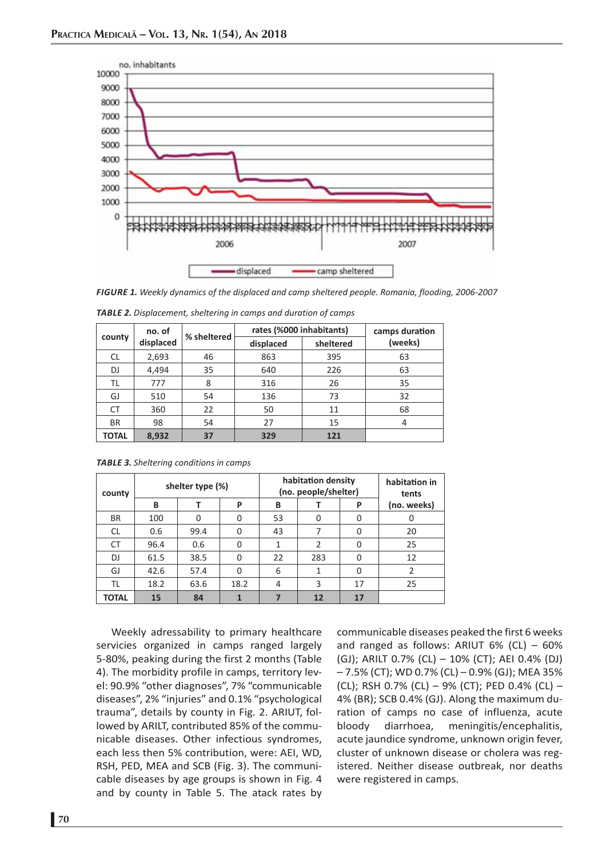

*FIGURE 1. Weekly dynamics of the displaced and camp sheltered people. Romania, flooding, 2006-2007*

| county       | no. of    | % sheltered | rates (%000 inhabitants) | camps duration |         |
|--------------|-----------|-------------|--------------------------|----------------|---------|
|              | displaced |             | displaced                | sheltered      | (weeks) |
| <b>CL</b>    | 2,693     | 46          | 863                      | 395            | 63      |
| DJ           | 4,494     | 35          | 640                      | 226            | 63      |
| TL           | 777       | 8           | 316                      | 26             | 35      |
| GJ           | 510       | 54          | 136                      | 73             |         |
| <b>CT</b>    | 360       | 22          | 50                       | 11             | 68      |
| <b>BR</b>    | 98        | 54          | 27                       | 15             | 4       |
| <b>TOTAL</b> | 8,932     | 37          | 329                      | 121            |         |

*TABLE 2. Displacement, sheltering in camps and duration of camps*

|  |  | <i>m</i> there is stretching conditions in camps |  |
|--|--|--------------------------------------------------|--|
|  |  |                                                  |  |

*TABLE 3. Sheltering conditions in camps* 

| county       |      | shelter type (%) |      |    | habitation density<br>(no. people/shelter) | habitation in<br>tents |             |
|--------------|------|------------------|------|----|--------------------------------------------|------------------------|-------------|
|              | B    |                  | P    | B  |                                            | P                      | (no. weeks) |
| <b>BR</b>    | 100  | O                |      | 53 | 0                                          | 0                      |             |
| <b>CL</b>    | 0.6  | 99.4             | 0    | 43 | 7                                          | 0                      | 20          |
| СT           | 96.4 | 0.6              | 0    |    | 2                                          | 0                      | 25          |
| DJ           | 61.5 | 38.5             | O    | 22 | 283                                        | 0                      | 12          |
| GJ           | 42.6 | 57.4             | O    | 6  |                                            | 0                      | 2           |
| TL           | 18.2 | 63.6             | 18.2 | 4  | 3                                          | 17                     | 25          |
| <b>TOTAL</b> | 15   | 84               |      |    | 12                                         | 17                     |             |

Weekly adressability to primary healthcare servicies organized in camps ranged largely 5-80%, peaking during the first 2 months (Table 4). The morbidity profile in camps, territory level: 90.9% "other diagnoses", 7% "communicable diseases", 2% "injuries" and 0.1% "psychological trauma", details by county in Fig. 2. ARIUT, followed by ARILT, contributed 85% of the communicable diseases. Other infectious syndromes, each less then 5% contribution, were: AEI, WD, RSH, PED, MEA and SCB (Fig. 3). The communicable diseases by age groups is shown in Fig. 4 and by county in Table 5. The atack rates by

communicable diseases peaked the first 6 weeks and ranged as follows: ARIUT  $6\%$  (CL) –  $60\%$ (GJ); ARILT 0.7% (CL) – 10% (CT); AEI 0.4% (DJ) – 7.5% (CT); WD 0.7% (CL) – 0.9% (GJ); MEA 35% (CL); RSH 0.7% (CL) – 9% (CT); PED 0.4% (CL) – 4% (BR); SCB 0.4% (GJ). Along the maximum duration of camps no case of influenza, acute bloody diarrhoea, meningitis/encephalitis, acute jaundice syndrome, unknown origin fever, cluster of unknown disease or cholera was registered. Neither disease outbreak, nor deaths were registered in camps.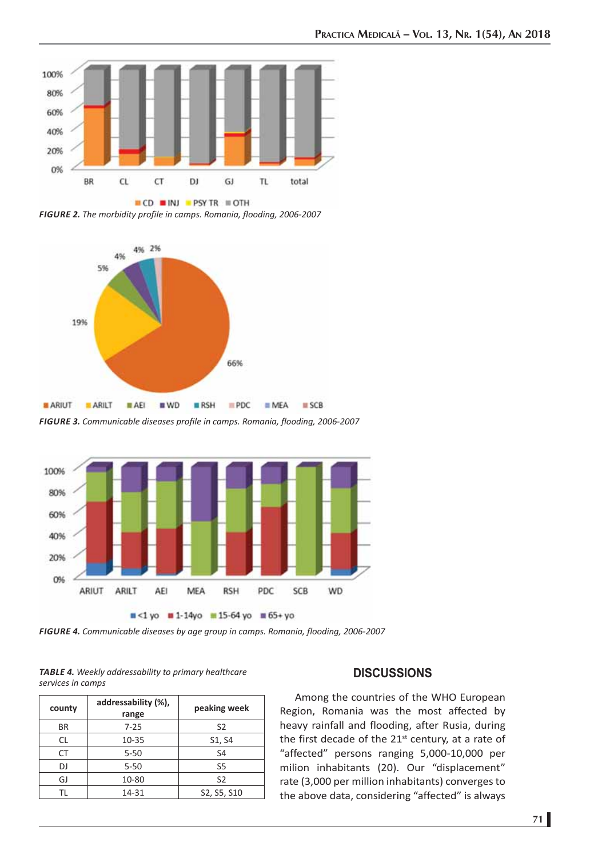

*FIGURE 2. The morbidity profile in camps. Romania, flooding, 2006-2007*



*FIGURE 3. Communicable diseases profile in camps. Romania, flooding, 2006-2007*



*FIGURE 4. Communicable diseases by age group in camps. Romania, flooding, 2006-2007*

*TABLE 4. Weekly addressability to primary healthcare services in camps*

| county    | addressability (%),<br>range | peaking week   |
|-----------|------------------------------|----------------|
| <b>BR</b> | $7 - 25$                     | S <sub>2</sub> |
| CL        | $10 - 35$                    | S1, S4         |
| CT        | $5 - 50$                     | S <sub>4</sub> |
| DJ        | $5 - 50$                     | S5             |
| GJ        | 10-80                        | S <sub>2</sub> |
| ΤI        | 14-31                        | S2, S5, S10    |

## **DISCUSSIONS**

Among the countries of the WHO European Region, Romania was the most affected by heavy rainfall and flooding, after Rusia, during the first decade of the 21<sup>st</sup> century, at a rate of "affected" persons ranging 5,000-10,000 per milion inhabitants (20). Our "displacement" rate (3,000 per million inhabitants) converges to the above data, considering "affected" is always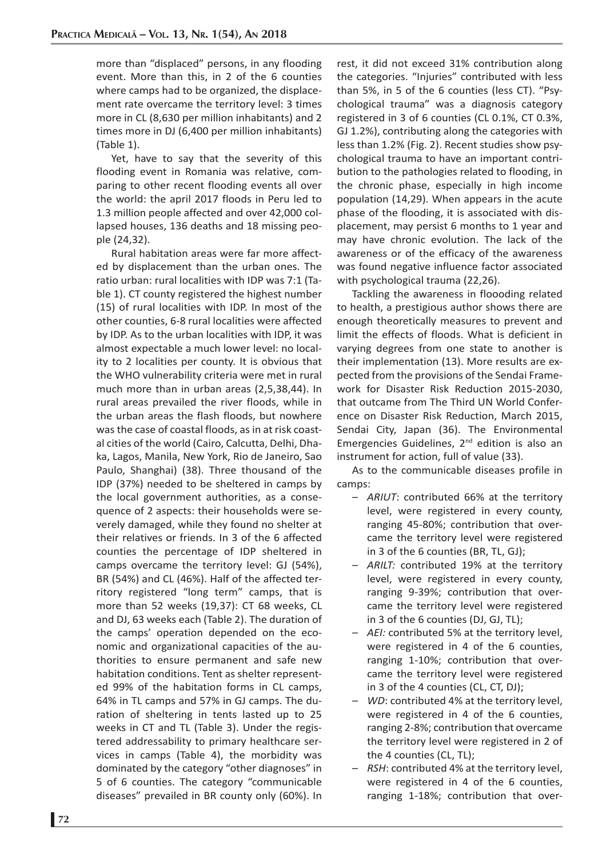more than "displaced" persons, in any flooding event. More than this, in 2 of the 6 counties where camps had to be organized, the displacement rate overcame the territory level: 3 times more in CL (8,630 per million inhabitants) and 2 times more in DJ (6,400 per million inhabitants) (Table 1).

Yet, have to say that the severity of this flooding event in Romania was relative, comparing to other recent flooding events all over the world: the april 2017 floods in Peru led to 1.3 million people affected and over 42,000 collapsed houses, 136 deaths and 18 missing people (24,32).

Rural habitation areas were far more affected by displacement than the urban ones. The ratio urban: rural localities with IDP was 7:1 (Table 1). CT county registered the highest number (15) of rural localities with IDP. In most of the other counties, 6-8 rural localities were affected by IDP. As to the urban localities with IDP, it was almost expectable a much lower level: no locality to 2 localities per county. It is obvious that the WHO vulnerability criteria were met in rural much more than in urban areas (2,5,38,44). In rural areas prevailed the river floods, while in the urban areas the flash floods, but nowhere was the case of coastal floods, as in at risk coastal cities of the world (Cairo, Calcutta, Delhi, Dhaka, Lagos, Manila, New York, Rio de Janeiro, Sao Paulo, Shanghai) (38). Three thousand of the IDP (37%) needed to be sheltered in camps by the local government authorities, as a consequence of 2 aspects: their households were severely damaged, while they found no shelter at their relatives or friends. In 3 of the 6 affected counties the percentage of IDP sheltered in camps overcame the territory level: GJ (54%), BR (54%) and CL (46%). Half of the affected territory registered "long term" camps, that is more than 52 weeks (19,37): CT 68 weeks, CL and DJ, 63 weeks each (Table 2). The duration of the camps' operation depended on the economic and organizational capacities of the authorities to ensure permanent and safe new habitation conditions. Tent as shelter represented 99% of the habitation forms in CL camps, 64% in TL camps and 57% in GJ camps. The duration of sheltering in tents lasted up to 25 weeks in CT and TL (Table 3). Under the registered addressability to primary healthcare services in camps (Table 4), the morbidity was dominated by the category "other diagnoses" in 5 of 6 counties. The category "communicable diseases" prevailed in BR county only (60%). In

rest, it did not exceed 31% contribution along the categories. "Injuries" contributed with less than 5%, in 5 of the 6 counties (less CT). "Psychological trauma" was a diagnosis category registered in 3 of 6 counties (CL 0.1%, CT 0.3%, GJ 1.2%), contributing along the categories with less than 1.2% (Fig. 2). Recent studies show psychological trauma to have an important contribution to the pathologies related to flooding, in the chronic phase, especially in high income population (14,29). When appears in the acute phase of the flooding, it is associated with displacement, may persist 6 months to 1 year and may have chronic evolution. The lack of the awareness or of the efficacy of the awareness was found negative influence factor associated with psychological trauma (22,26).

Tackling the awareness in floooding related to health, a prestigious author shows there are enough theoretically measures to prevent and limit the effects of floods. What is deficient in varying degrees from one state to another is their implementation (13). More results are expected from the provisions of the Sendai Framework for Disaster Risk Reduction 2015-2030, that outcame from The Third UN World Conference on Disaster Risk Reduction, March 2015, Sendai City, Japan (36). The Environmental Emergencies Guidelines, 2nd edition is also an instrument for action, full of value (33).

As to the communicable diseases profile in camps:

- *ARIUT*: contributed 66% at the territory level, were registered in every county, ranging 45-80%; contribution that overcame the territory level were registered in 3 of the 6 counties (BR, TL, GJ);
- *ARILT:* contributed 19% at the territory level, were registered in every county, ranging 9-39%; contribution that overcame the territory level were registered in 3 of the 6 counties (DJ, GJ, TL);
- *AEI:* contributed 5% at the territory level, were registered in 4 of the 6 counties, ranging 1-10%; contribution that overcame the territory level were registered in 3 of the 4 counties (CL, CT, DJ);
- *WD*: contributed 4% at the territory level, were registered in 4 of the 6 counties, ranging 2-8%; contribution that overcame the territory level were registered in 2 of the 4 counties (CL, TL);
- *RSH*: contributed 4% at the territory level, were registered in 4 of the 6 counties, ranging 1-18%; contribution that over-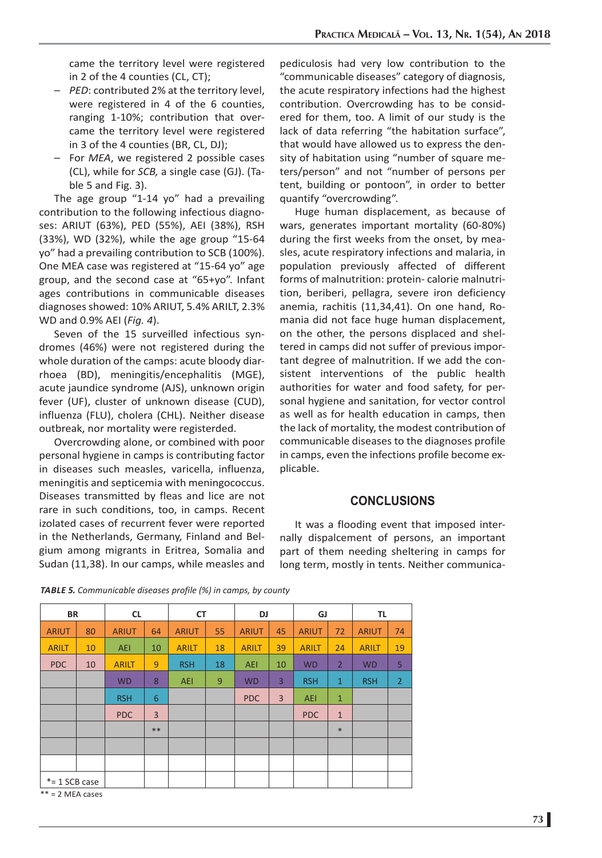came the territory level were registered in 2 of the 4 counties (CL, CT);

- *PED*: contributed 2% at the territory level, were registered in 4 of the 6 counties, ranging 1-10%; contribution that overcame the territory level were registered in 3 of the 4 counties (BR, CL, DJ);
- For *MEA*, we registered 2 possible cases (CL), while for *SCB,* a single case (GJ). (Table 5 and Fig. 3).

The age group "1-14 yo" had a prevailing contribution to the following infectious diagnoses: ARIUT (63%), PED (55%), AEI (38%), RSH (33%), WD (32%), while the age group "15-64 yo" had a prevailing contribution to SCB (100%). One MEA case was registered at "15-64 yo" age group, and the second case at "65+yo". Infant ages contributions in communicable diseases diagnoses showed: 10% ARIUT, 5.4% ARILT, 2.3% WD and 0.9% AEI (*Fig. 4*).

Seven of the 15 surveilled infectious syndromes (46%) were not registered during the whole duration of the camps: acute bloody diarrhoea (BD), meningitis/encephalitis (MGE), acute jaundice syndrome (AJS), unknown origin fever (UF), cluster of unknown disease (CUD), influenza (FLU), cholera (CHL). Neither disease outbreak, nor mortality were registerded.

Overcrowding alone, or combined with poor personal hygiene in camps is contributing factor in diseases such measles, varicella, influenza, meningitis and septicemia with meningococcus. Diseases transmitted by fleas and lice are not rare in such conditions, too, in camps. Recent izolated cases of recurrent fever were reported in the Netherlands, Germany, Finland and Belgium among migrants in Eritrea, Somalia and Sudan (11,38). In our camps, while measles and

pediculosis had very low contribution to the "communicable diseases" category of diagnosis, the acute respiratory infections had the highest contribution. Overcrowding has to be considered for them, too. A limit of our study is the lack of data referring "the habitation surface", that would have allowed us to express the density of habitation using "number of square meters/person" and not "number of persons per tent, building or pontoon", in order to better quantify "overcrowding".

Huge human displacement, as because of wars, generates important mortality (60-80%) during the first weeks from the onset, by measles, acute respiratory infections and malaria, in population previously affected of different forms of malnutrition: protein- calorie malnutrition, beriberi, pellagra, severe iron deficiency anemia, rachitis (11,34,41). On one hand, Romania did not face huge human displacement, on the other, the persons displaced and sheltered in camps did not suffer of previous important degree of malnutrition. If we add the consistent interventions of the public health authorities for water and food safety, for personal hygiene and sanitation, for vector control as well as for health education in camps, then the lack of mortality, the modest contribution of communicable diseases to the diagnoses profile in camps, even the infections profile become explicable.

#### **CONCLUSIONS**

It was a flooding event that imposed internally dispalcement of persons, an important part of them needing sheltering in camps for long term, mostly in tents. Neither communica-

| <b>TABLE 5.</b> Communicable diseases profile (%) in camps, by county |  |  |  |
|-----------------------------------------------------------------------|--|--|--|
|-----------------------------------------------------------------------|--|--|--|

| <b>BR</b>      |    | <b>CL</b>    |       |              | <b>CT</b> |              | DJ             |              | GJ             |              | TL             |  |
|----------------|----|--------------|-------|--------------|-----------|--------------|----------------|--------------|----------------|--------------|----------------|--|
| <b>ARIUT</b>   | 80 | <b>ARIUT</b> | 64    | <b>ARIUT</b> | 55        | <b>ARIUT</b> | 45             | <b>ARIUT</b> | 72             | <b>ARIUT</b> | 74             |  |
| <b>ARILT</b>   | 10 | <b>AEI</b>   | 10    | <b>ARILT</b> | 18        | <b>ARILT</b> | 39             | <b>ARILT</b> | 24             | <b>ARILT</b> | 19             |  |
| <b>PDC</b>     | 10 | <b>ARILT</b> | 9     | <b>RSH</b>   | 18        | AEI          | 10             | <b>WD</b>    | $\overline{2}$ | <b>WD</b>    | 5              |  |
|                |    | <b>WD</b>    | 8     | <b>AEI</b>   | 9         | <b>WD</b>    | 3              | <b>RSH</b>   | $\mathbf{1}$   | <b>RSH</b>   | $\overline{2}$ |  |
|                |    | <b>RSH</b>   | 6     |              |           | <b>PDC</b>   | $\overline{3}$ | <b>AEI</b>   | $\mathbf{1}$   |              |                |  |
|                |    | <b>PDC</b>   | 3     |              |           |              |                | <b>PDC</b>   | $\mathbf{1}$   |              |                |  |
|                |    |              | $***$ |              |           |              |                |              | $*$            |              |                |  |
|                |    |              |       |              |           |              |                |              |                |              |                |  |
|                |    |              |       |              |           |              |                |              |                |              |                |  |
| $*=1$ SCB case |    |              |       |              |           |              |                |              |                |              |                |  |

 $**$  = 2 MEA cases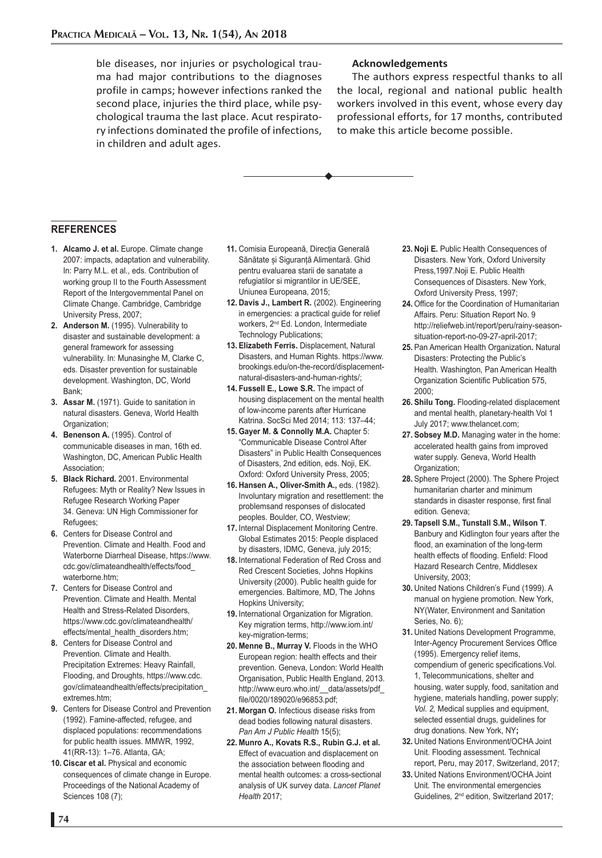ble diseases, nor injuries or psychological trauma had major contributions to the diagnoses profile in camps; however infections ranked the second place, injuries the third place, while psychological trauma the last place. Acut respiratory infections dominated the profile of infections, in children and adult ages.

#### **Acknowledgements**

The authors express respectful thanks to all the local, regional and national public health workers involved in this event, whose every day professional efforts, for 17 months, contributed to make this article become possible.

#### **REFERENCES**

- **1. Alcamo J. et al.** Europe. Climate change 2007: impacts, adaptation and vulnerability. In: Parry M.L. et al., eds. Contribution of working group II to the Fourth Assessment Report of the Intergovernmental Panel on Climate Change. Cambridge, Cambridge University Press, 2007;
- 2. Anderson M. (1995). Vulnerability to disaster and sustainable development: a general framework for assessing vulnerability. In: Munasinghe M, Clarke C, eds. Disaster prevention for sustainable development. Washington, DC, World Bank;
- **3. Assar M.** (1971). Guide to sanitation in natural disasters. Geneva, World Health Organization:
- 4. Benenson A. (1995). Control of communicable diseases in man, 16th ed. Washington, DC, American Public Health Association;
- **5. Black Richard.** 2001. Environmental Refugees: Myth or Reality? New Issues in Refugee Research Working Paper 34. Geneva: UN High Commissioner for Refugees;
- **6.** Centers for Disease Control and Prevention. Climate and Health. Food and Waterborne Diarrheal Disease, https://www. cdc.gov/climateandhealth/effects/food\_ waterborne.htm;
- **7.** Centers for Disease Control and Prevention. Climate and Health. Mental Health and Stress-Related Disorders, https://www.cdc.gov/climateandhealth/ effects/mental\_health\_disorders.htm;
- **8.** Centers for Disease Control and Prevention. Climate and Health. Precipitation Extremes: Heavy Rainfall, Flooding, and Droughts, https://www.cdc. gov/climateandhealth/effects/precipitation\_ extremes.htm;
- **9.** Centers for Disease Control and Prevention (1992). Famine-affected, refugee, and displaced populations: recommendations for public health issues. MMWR, 1992, 41(RR-13): 1–76. Atlanta, GA;
- **10. Ciscar et al.** Physical and economic consequences of climate change in Europe. Proceedings of the National Academy of Sciences 108 (7);
- **11.** Comisia Europeană, Direcția Generală Sănătate și Siguranță Alimentară. Ghid pentru evaluarea starii de sanatate a refugiatilor si migrantilor in UE/SEE, Uniunea Europeana, 2015;
- **12. Davis J., Lambert R.** (2002). Engineering in emergencies: a practical guide for relief workers, 2nd Ed. London, Intermediate Technology Publications;
- **13. Elizabeth Ferris.** Displacement, Natural Disasters, and Human Rights. https://www. brookings.edu/on-the-record/displacementnatural-disasters-and-human-rights/;
- **14. Fussell E., Lowe S.R.** The impact of housing displacement on the mental health of low-income parents after Hurricane Katrina. SocSci Med 2014; 113: 137–44;
- **15. Gayer M. & Connolly M.A.** Chapter 5: "Communicable Disease Control After Disasters" in Public Health Consequences of Disasters, 2nd edition, eds. Noji, EK. Oxford: Oxford University Press, 2005;
- **16. Hansen A., Oliver-Smith A.,** eds. (1982). Involuntary migration and resettlement: the problemsand responses of dislocated peoples. Boulder, CO, Westview;
- **17.** Internal Displacement Monitoring Centre. Global Estimates 2015: People displaced by disasters, IDMC, Geneva, july 2015;
- **18.** International Federation of Red Cross and Red Crescent Societies, Johns Hopkins University (2000). Public health guide for emergencies. Baltimore, MD, The Johns Hopkins University;
- **19.** International Organization for Migration. Key migration terms, http://www.iom.int/ key-migration-terms;
- **20. Menne B., Murray V.** Floods in the WHO European region: health effects and their prevention. Geneva, London: World Health Organisation, Public Health England, 2013. http://www.euro.who.int/\_\_data/assets/pdf file/0020/189020/e96853.pdf;
- **21. Morgan O.** Infectious disease risks from dead bodies following natural disasters. *Pan Am J Public Health* 15(5);
- **22. Munro A., Kovats R.S., Rubin G.J. et al.** Effect of evacuation and displacement on the association between flooding and mental health outcomes: a cross-sectional analysis of UK survey data. *Lancet Planet Health* 2017;
- **23. Noji E.** Public Health Consequences of Disasters*.* New York, Oxford University Press,1997.Noji E. Public Health Consequences of Disasters. New York, Oxford University Press, 1997;
- **24.** Office for the Coordination of Humanitarian Affairs. Peru: Situation Report No. 9 http://reliefweb.int/report/peru/rainy-seasonsituation-report-no-09-27-april-2017;
- **25.** Pan American Health Organization**.** Natural Disasters: Protecting the Public's Health*.* Washington, Pan American Health Organization Scientific Publication 575, 2000;
- **26. Shilu Tong.** Flooding-related displacement and mental health, planetary-health Vol 1 July 2017; www.thelancet.com;
- **27. Sobsey M.D.** Managing water in the home: accelerated health gains from improved water supply. Geneva, World Health Organization;
- **28.** Sphere Project (2000). The Sphere Project humanitarian charter and minimum standards in disaster response*,* first final edition*.* Geneva;
- **29. Tapsell S.M., Tunstall S.M., Wilson T**. Banbury and Kidlington four years after the flood, an examination of the long-term health effects of flooding. Enfield: Flood Hazard Research Centre, Middlesex University, 2003;
- **30.** United Nations Children's Fund (1999). A manual on hygiene promotion*.* New York, NY(Water, Environment and Sanitation Series, No. 6);
- **31.** United Nations Development Programme, Inter-Agency Procurement Services Office (1995). Emergency relief items, compendium of generic specifications.Vol. 1, Telecommunications, shelter and housing, water supply, food, sanitation and hygiene, materials handling, power supply; *Vol. 2,* Medical supplies and equipment, selected essential drugs, guidelines for drug donations. New York, NY**;**
- **32.** United Nations Environment/OCHA Joint Unit*.* Flooding assessment. Technical report, Peru, may 2017, Switzerland, 2017;
- **33.** United Nations Environment/OCHA Joint Unit*.* The environmental emergencies Guidelines*,* 2nd edition, Switzerland 2017;